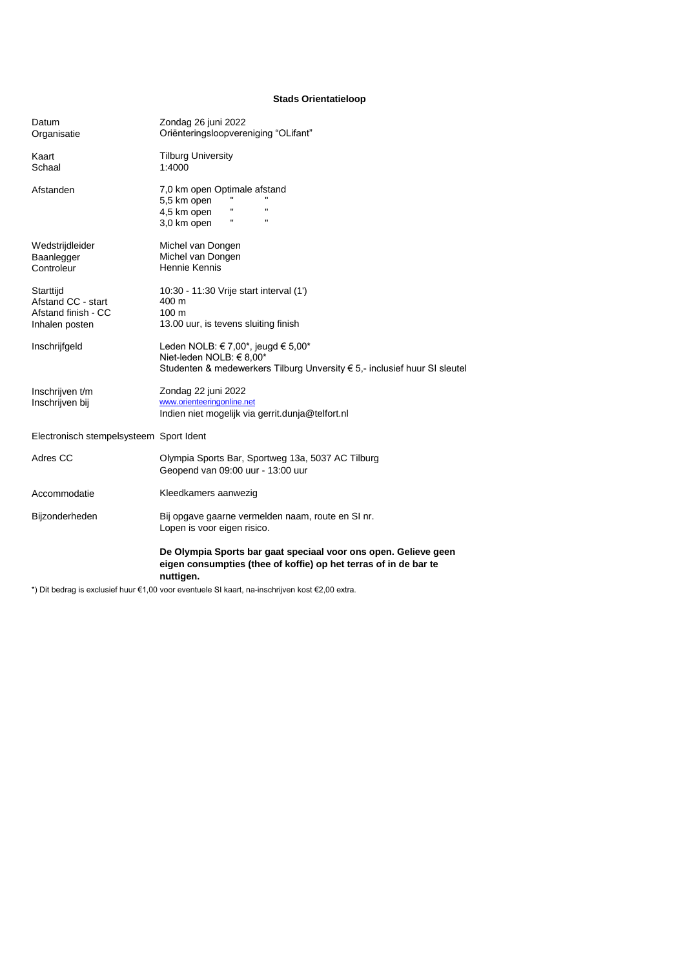## **Stads Orientatieloop**

| Datum<br>Organisatie                                                     | Zondag 26 juni 2022<br>Oriënteringsloopvereniging "OLifant"                                                                                      |
|--------------------------------------------------------------------------|--------------------------------------------------------------------------------------------------------------------------------------------------|
| Kaart<br>Schaal                                                          | <b>Tilburg University</b><br>1:4000                                                                                                              |
| Afstanden                                                                | 7,0 km open Optimale afstand<br>5,5 km open<br>Ħ<br>$\blacksquare$<br>4,5 km open<br>п.<br>$\mathbf{u}$<br>3,0 km open                           |
| Wedstrijdleider<br>Baanlegger<br>Controleur                              | Michel van Dongen<br>Michel van Dongen<br>Hennie Kennis                                                                                          |
| Starttijd<br>Afstand CC - start<br>Afstand finish - CC<br>Inhalen posten | 10:30 - 11:30 Vrije start interval (1')<br>400 m<br>$100 \text{ m}$<br>13.00 uur, is tevens sluiting finish                                      |
| Inschrijfgeld                                                            | Leden NOLB: € 7,00*, jeugd € 5,00*<br>Niet-leden NOLB: € 8,00*<br>Studenten & medewerkers Tilburg Unversity € 5,- inclusief huur SI sleutel      |
| Inschrijven t/m<br>Inschrijven bij                                       | Zondag 22 juni 2022<br>www.orienteeringonline.net<br>Indien niet mogelijk via gerrit.dunja@telfort.nl                                            |
| Electronisch stempelsysteem Sport Ident                                  |                                                                                                                                                  |
| Adres CC                                                                 | Olympia Sports Bar, Sportweg 13a, 5037 AC Tilburg<br>Geopend van 09:00 uur - 13:00 uur                                                           |
| Accommodatie                                                             | Kleedkamers aanwezig                                                                                                                             |
| Bijzonderheden                                                           | Bij opgave gaarne vermelden naam, route en SI nr.<br>Lopen is voor eigen risico.                                                                 |
|                                                                          | De Olympia Sports bar gaat speciaal voor ons open. Gelieve geen<br>eigen consumpties (thee of koffie) op het terras of in de bar te<br>nuttigen. |

\*) Dit bedrag is exclusief huur €1,00 voor eventuele SI kaart, na-inschrijven kost €2,00 extra.